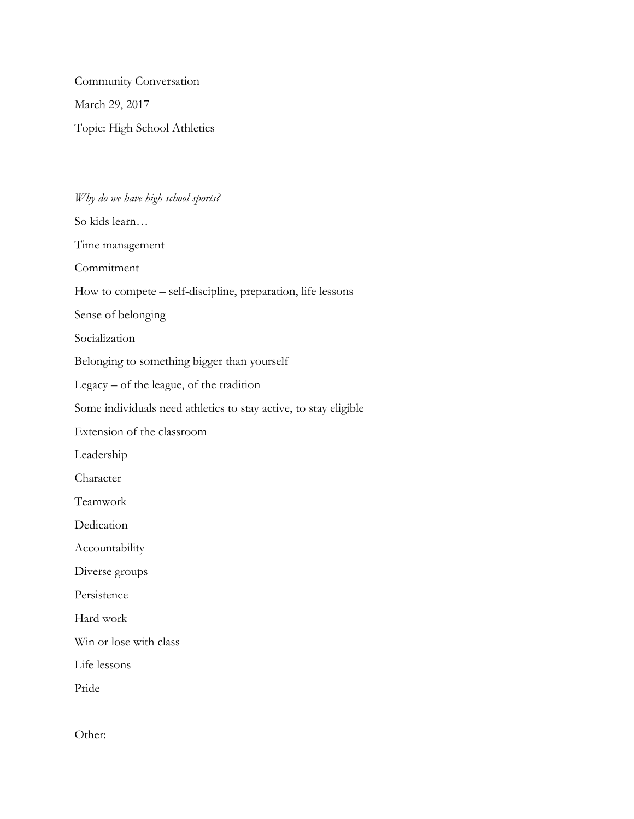Community Conversation March 29, 2017 Topic: High School Athletics

## *Why do we have high school sports?*

So kids learn… Time management Commitment How to compete – self-discipline, preparation, life lessons Sense of belonging Socialization Belonging to something bigger than yourself Legacy – of the league, of the tradition Some individuals need athletics to stay active, to stay eligible Extension of the classroom Leadership Character Teamwork Dedication Accountability Diverse groups Persistence Hard work Win or lose with class Life lessons Pride

Other: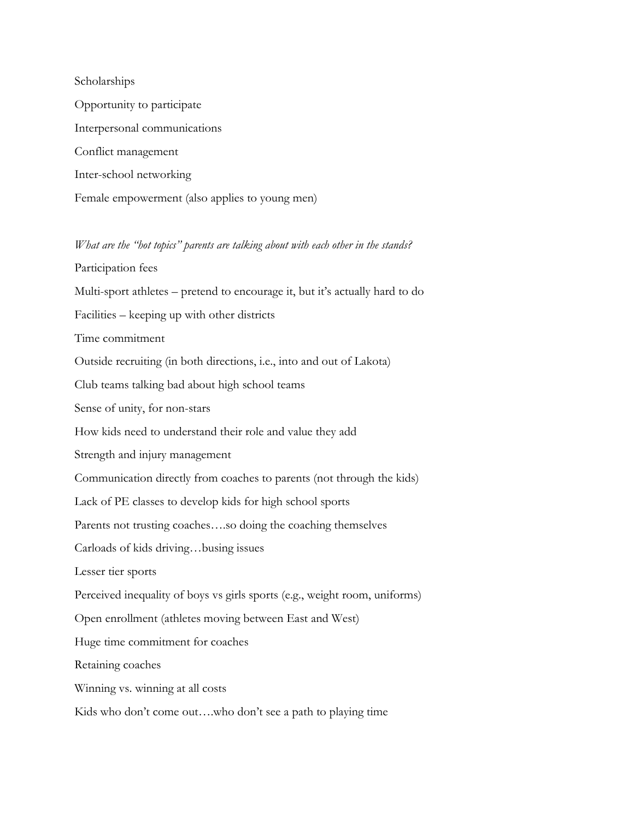Scholarships Opportunity to participate Interpersonal communications Conflict management Inter-school networking Female empowerment (also applies to young men)

*What are the "hot topics" parents are talking about with each other in the stands?* Participation fees Multi-sport athletes – pretend to encourage it, but it's actually hard to do Facilities – keeping up with other districts Time commitment Outside recruiting (in both directions, i.e., into and out of Lakota) Club teams talking bad about high school teams Sense of unity, for non-stars How kids need to understand their role and value they add Strength and injury management Communication directly from coaches to parents (not through the kids) Lack of PE classes to develop kids for high school sports Parents not trusting coaches….so doing the coaching themselves Carloads of kids driving…busing issues Lesser tier sports Perceived inequality of boys vs girls sports (e.g., weight room, uniforms) Open enrollment (athletes moving between East and West) Huge time commitment for coaches Retaining coaches Winning vs. winning at all costs Kids who don't come out….who don't see a path to playing time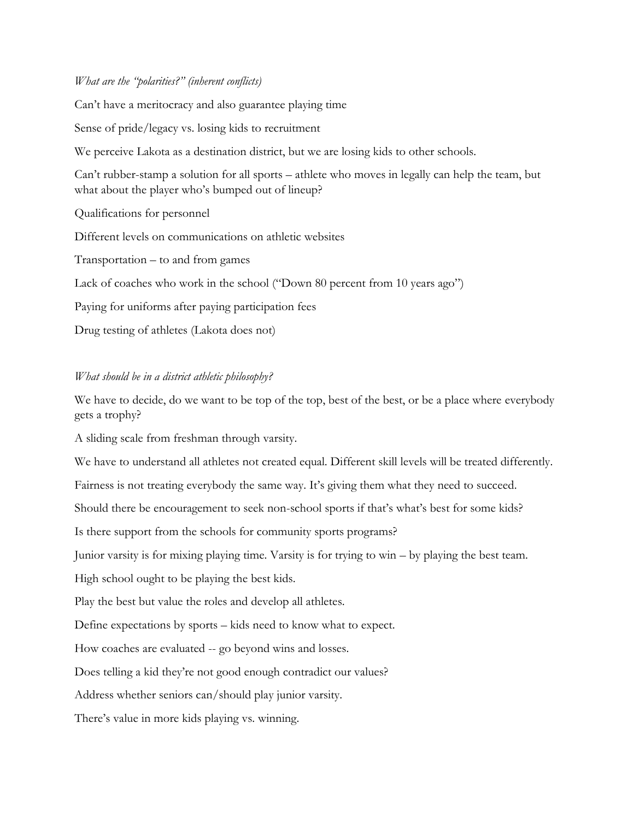## *What are the "polarities?" (inherent conflicts)*

Can't have a meritocracy and also guarantee playing time

Sense of pride/legacy vs. losing kids to recruitment

We perceive Lakota as a destination district, but we are losing kids to other schools.

Can't rubber-stamp a solution for all sports – athlete who moves in legally can help the team, but what about the player who's bumped out of lineup?

Qualifications for personnel

Different levels on communications on athletic websites

Transportation – to and from games

Lack of coaches who work in the school ("Down 80 percent from 10 years ago")

Paying for uniforms after paying participation fees

Drug testing of athletes (Lakota does not)

## *What should be in a district athletic philosophy?*

We have to decide, do we want to be top of the top, best of the best, or be a place where everybody gets a trophy?

A sliding scale from freshman through varsity.

We have to understand all athletes not created equal. Different skill levels will be treated differently.

Fairness is not treating everybody the same way. It's giving them what they need to succeed.

Should there be encouragement to seek non-school sports if that's what's best for some kids?

Is there support from the schools for community sports programs?

Junior varsity is for mixing playing time. Varsity is for trying to win – by playing the best team.

High school ought to be playing the best kids.

Play the best but value the roles and develop all athletes.

Define expectations by sports – kids need to know what to expect.

How coaches are evaluated -- go beyond wins and losses.

Does telling a kid they're not good enough contradict our values?

Address whether seniors can/should play junior varsity.

There's value in more kids playing vs. winning.